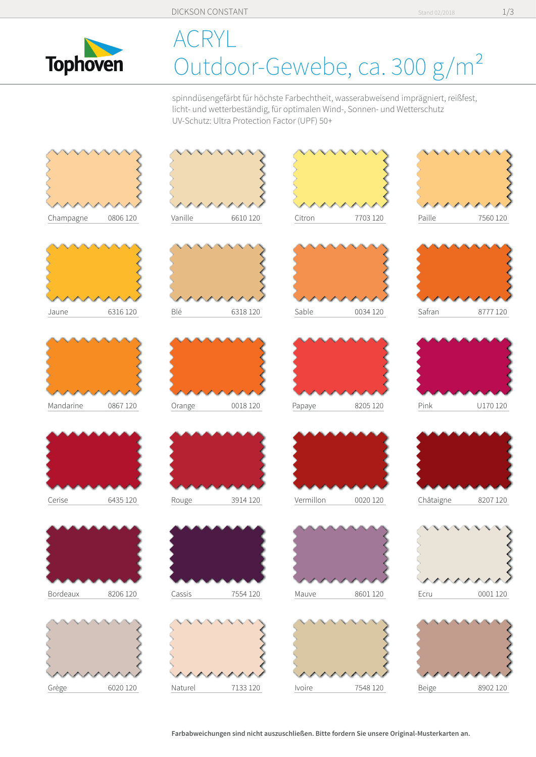

## CRYL. Outdoor-Gewebe, ca. 300 g/m<sup>2</sup>

spinndüsengefärbt für höchste Farbechtheit, wasserabweisend imprägniert, reißfest, licht- und wetterbeständig, für optimalen Wind-, Sonnen- und Wetterschutz UV-Schutz: Ultra Protection Factor (UPF) 50+



Stand 02/2018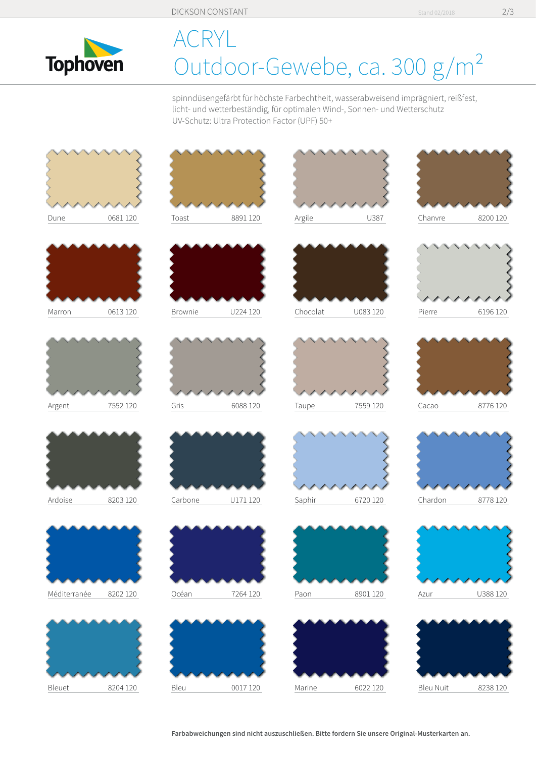

## ACRYL Outdoor-Gewebe, ca. 300 g/m<sup>2</sup>

spinndüsengefärbt für höchste Farbechtheit, wasserabweisend imprägniert, reißfest, licht- und wetterbeständig, für optimalen Wind-, Sonnen- und Wetterschutz UV-Schutz: Ultra Protection Factor (UPF) 50+



Farbabweichungen sind nicht auszuschließen. Bitte fordern Sie unsere Original-Musterkarten an.

Stand 02/2018